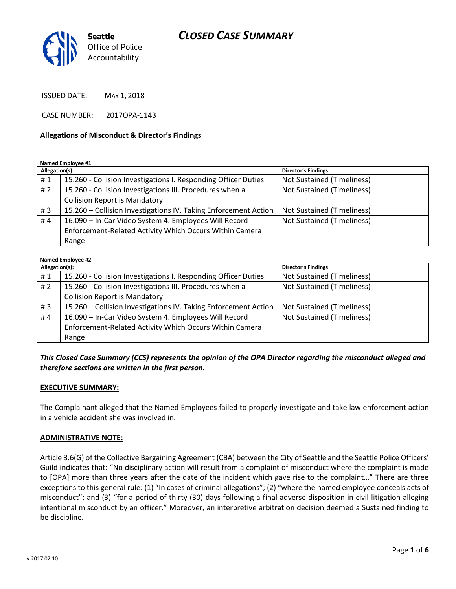# *CLOSED CASE SUMMARY*



ISSUED DATE: MAY 1, 2018

CASE NUMBER: 2017OPA-1143

#### **Allegations of Misconduct & Director's Findings**

**Named Employee #1**

| Allegation(s): |                                                                 | <b>Director's Findings</b>        |
|----------------|-----------------------------------------------------------------|-----------------------------------|
| #1             | 15.260 - Collision Investigations I. Responding Officer Duties  | Not Sustained (Timeliness)        |
| #2             | 15.260 - Collision Investigations III. Procedures when a        | <b>Not Sustained (Timeliness)</b> |
|                | <b>Collision Report is Mandatory</b>                            |                                   |
| #3             | 15.260 - Collision Investigations IV. Taking Enforcement Action | Not Sustained (Timeliness)        |
| #4             | 16.090 - In-Car Video System 4. Employees Will Record           | <b>Not Sustained (Timeliness)</b> |
|                | Enforcement-Related Activity Which Occurs Within Camera         |                                   |
|                | Range                                                           |                                   |

| <b>Named Employee #2</b> |                                                                 |                                   |  |
|--------------------------|-----------------------------------------------------------------|-----------------------------------|--|
| Allegation(s):           |                                                                 | <b>Director's Findings</b>        |  |
| #1                       | 15.260 - Collision Investigations I. Responding Officer Duties  | <b>Not Sustained (Timeliness)</b> |  |
| #2                       | 15.260 - Collision Investigations III. Procedures when a        | <b>Not Sustained (Timeliness)</b> |  |
|                          | <b>Collision Report is Mandatory</b>                            |                                   |  |
| #3                       | 15.260 – Collision Investigations IV. Taking Enforcement Action | <b>Not Sustained (Timeliness)</b> |  |
| #4                       | 16.090 - In-Car Video System 4. Employees Will Record           | <b>Not Sustained (Timeliness)</b> |  |
|                          | Enforcement-Related Activity Which Occurs Within Camera         |                                   |  |
|                          | Range                                                           |                                   |  |

*This Closed Case Summary (CCS) represents the opinion of the OPA Director regarding the misconduct alleged and therefore sections are written in the first person.* 

#### **EXECUTIVE SUMMARY:**

The Complainant alleged that the Named Employees failed to properly investigate and take law enforcement action in a vehicle accident she was involved in.

#### **ADMINISTRATIVE NOTE:**

Article 3.6(G) of the Collective Bargaining Agreement (CBA) between the City of Seattle and the Seattle Police Officers' Guild indicates that: "No disciplinary action will result from a complaint of misconduct where the complaint is made to [OPA] more than three years after the date of the incident which gave rise to the complaint…" There are three exceptions to this general rule: (1) "In cases of criminal allegations"; (2) "where the named employee conceals acts of misconduct"; and (3) "for a period of thirty (30) days following a final adverse disposition in civil litigation alleging intentional misconduct by an officer." Moreover, an interpretive arbitration decision deemed a Sustained finding to be discipline.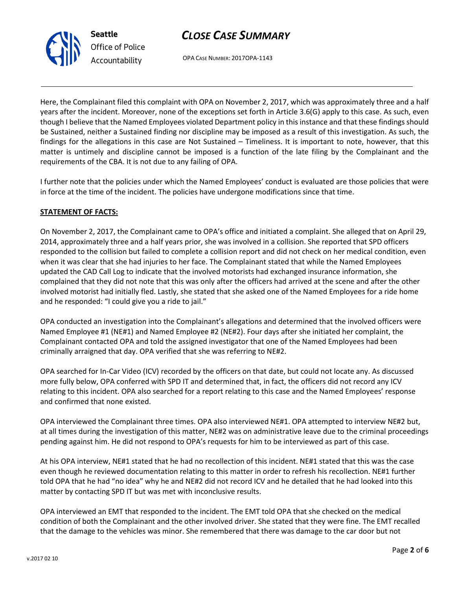



OPA CASE NUMBER: 2017OPA-1143

Here, the Complainant filed this complaint with OPA on November 2, 2017, which was approximately three and a half years after the incident. Moreover, none of the exceptions set forth in Article 3.6(G) apply to this case. As such, even though I believe that the Named Employees violated Department policy in this instance and that these findings should be Sustained, neither a Sustained finding nor discipline may be imposed as a result of this investigation. As such, the findings for the allegations in this case are Not Sustained – Timeliness. It is important to note, however, that this matter is untimely and discipline cannot be imposed is a function of the late filing by the Complainant and the requirements of the CBA. It is not due to any failing of OPA.

I further note that the policies under which the Named Employees' conduct is evaluated are those policies that were in force at the time of the incident. The policies have undergone modifications since that time.

### **STATEMENT OF FACTS:**

On November 2, 2017, the Complainant came to OPA's office and initiated a complaint. She alleged that on April 29, 2014, approximately three and a half years prior, she was involved in a collision. She reported that SPD officers responded to the collision but failed to complete a collision report and did not check on her medical condition, even when it was clear that she had injuries to her face. The Complainant stated that while the Named Employees updated the CAD Call Log to indicate that the involved motorists had exchanged insurance information, she complained that they did not note that this was only after the officers had arrived at the scene and after the other involved motorist had initially fled. Lastly, she stated that she asked one of the Named Employees for a ride home and he responded: "I could give you a ride to jail."

OPA conducted an investigation into the Complainant's allegations and determined that the involved officers were Named Employee #1 (NE#1) and Named Employee #2 (NE#2). Four days after she initiated her complaint, the Complainant contacted OPA and told the assigned investigator that one of the Named Employees had been criminally arraigned that day. OPA verified that she was referring to NE#2.

OPA searched for In-Car Video (ICV) recorded by the officers on that date, but could not locate any. As discussed more fully below, OPA conferred with SPD IT and determined that, in fact, the officers did not record any ICV relating to this incident. OPA also searched for a report relating to this case and the Named Employees' response and confirmed that none existed.

OPA interviewed the Complainant three times. OPA also interviewed NE#1. OPA attempted to interview NE#2 but, at all times during the investigation of this matter, NE#2 was on administrative leave due to the criminal proceedings pending against him. He did not respond to OPA's requests for him to be interviewed as part of this case.

At his OPA interview, NE#1 stated that he had no recollection of this incident. NE#1 stated that this was the case even though he reviewed documentation relating to this matter in order to refresh his recollection. NE#1 further told OPA that he had "no idea" why he and NE#2 did not record ICV and he detailed that he had looked into this matter by contacting SPD IT but was met with inconclusive results.

OPA interviewed an EMT that responded to the incident. The EMT told OPA that she checked on the medical condition of both the Complainant and the other involved driver. She stated that they were fine. The EMT recalled that the damage to the vehicles was minor. She remembered that there was damage to the car door but not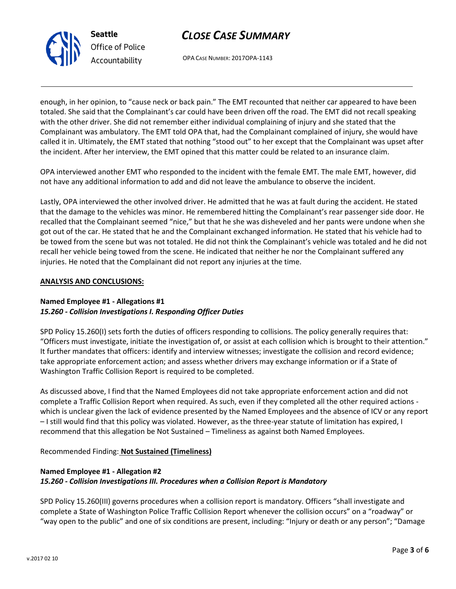



OPA CASE NUMBER: 2017OPA-1143

enough, in her opinion, to "cause neck or back pain." The EMT recounted that neither car appeared to have been totaled. She said that the Complainant's car could have been driven off the road. The EMT did not recall speaking with the other driver. She did not remember either individual complaining of injury and she stated that the Complainant was ambulatory. The EMT told OPA that, had the Complainant complained of injury, she would have called it in. Ultimately, the EMT stated that nothing "stood out" to her except that the Complainant was upset after the incident. After her interview, the EMT opined that this matter could be related to an insurance claim.

OPA interviewed another EMT who responded to the incident with the female EMT. The male EMT, however, did not have any additional information to add and did not leave the ambulance to observe the incident.

Lastly, OPA interviewed the other involved driver. He admitted that he was at fault during the accident. He stated that the damage to the vehicles was minor. He remembered hitting the Complainant's rear passenger side door. He recalled that the Complainant seemed "nice," but that he she was disheveled and her pants were undone when she got out of the car. He stated that he and the Complainant exchanged information. He stated that his vehicle had to be towed from the scene but was not totaled. He did not think the Complainant's vehicle was totaled and he did not recall her vehicle being towed from the scene. He indicated that neither he nor the Complainant suffered any injuries. He noted that the Complainant did not report any injuries at the time.

#### **ANALYSIS AND CONCLUSIONS:**

### **Named Employee #1 - Allegations #1** *15.260 - Collision Investigations I. Responding Officer Duties*

SPD Policy 15.260(I) sets forth the duties of officers responding to collisions. The policy generally requires that: "Officers must investigate, initiate the investigation of, or assist at each collision which is brought to their attention." It further mandates that officers: identify and interview witnesses; investigate the collision and record evidence; take appropriate enforcement action; and assess whether drivers may exchange information or if a State of Washington Traffic Collision Report is required to be completed.

As discussed above, I find that the Named Employees did not take appropriate enforcement action and did not complete a Traffic Collision Report when required. As such, even if they completed all the other required actions which is unclear given the lack of evidence presented by the Named Employees and the absence of ICV or any report – I still would find that this policy was violated. However, as the three-year statute of limitation has expired, I recommend that this allegation be Not Sustained – Timeliness as against both Named Employees.

Recommended Finding: **Not Sustained (Timeliness)**

## **Named Employee #1 - Allegation #2** *15.260 - Collision Investigations III. Procedures when a Collision Report is Mandatory*

SPD Policy 15.260(III) governs procedures when a collision report is mandatory. Officers "shall investigate and complete a State of Washington Police Traffic Collision Report whenever the collision occurs" on a "roadway" or "way open to the public" and one of six conditions are present, including: "Injury or death or any person"; "Damage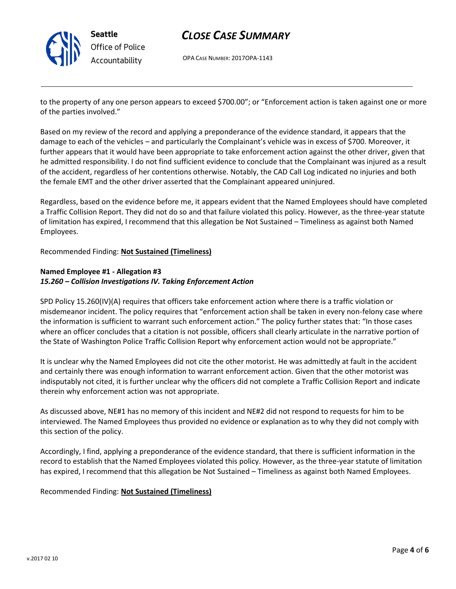

# *CLOSE CASE SUMMARY*

OPA CASE NUMBER: 2017OPA-1143

to the property of any one person appears to exceed \$700.00"; or "Enforcement action is taken against one or more of the parties involved."

Based on my review of the record and applying a preponderance of the evidence standard, it appears that the damage to each of the vehicles – and particularly the Complainant's vehicle was in excess of \$700. Moreover, it further appears that it would have been appropriate to take enforcement action against the other driver, given that he admitted responsibility. I do not find sufficient evidence to conclude that the Complainant was injured as a result of the accident, regardless of her contentions otherwise. Notably, the CAD Call Log indicated no injuries and both the female EMT and the other driver asserted that the Complainant appeared uninjured.

Regardless, based on the evidence before me, it appears evident that the Named Employees should have completed a Traffic Collision Report. They did not do so and that failure violated this policy. However, as the three-year statute of limitation has expired, I recommend that this allegation be Not Sustained – Timeliness as against both Named Employees.

#### Recommended Finding: **Not Sustained (Timeliness)**

### **Named Employee #1 - Allegation #3** *15.260 – Collision Investigations IV. Taking Enforcement Action*

SPD Policy 15.260(IV)(A) requires that officers take enforcement action where there is a traffic violation or misdemeanor incident. The policy requires that "enforcement action shall be taken in every non-felony case where the information is sufficient to warrant such enforcement action." The policy further states that: "In those cases where an officer concludes that a citation is not possible, officers shall clearly articulate in the narrative portion of the State of Washington Police Traffic Collision Report why enforcement action would not be appropriate."

It is unclear why the Named Employees did not cite the other motorist. He was admittedly at fault in the accident and certainly there was enough information to warrant enforcement action. Given that the other motorist was indisputably not cited, it is further unclear why the officers did not complete a Traffic Collision Report and indicate therein why enforcement action was not appropriate.

As discussed above, NE#1 has no memory of this incident and NE#2 did not respond to requests for him to be interviewed. The Named Employees thus provided no evidence or explanation as to why they did not comply with this section of the policy.

Accordingly, I find, applying a preponderance of the evidence standard, that there is sufficient information in the record to establish that the Named Employees violated this policy. However, as the three-year statute of limitation has expired, I recommend that this allegation be Not Sustained – Timeliness as against both Named Employees.

#### Recommended Finding: **Not Sustained (Timeliness)**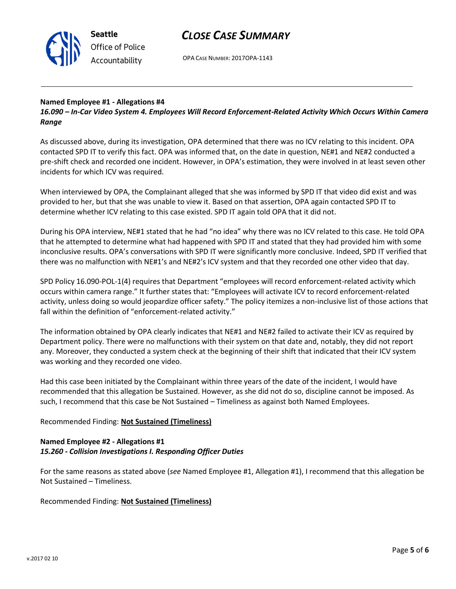

# *CLOSE CASE SUMMARY*

OPA CASE NUMBER: 2017OPA-1143

#### **Named Employee #1 - Allegations #4**

*16.090 – In-Car Video System 4. Employees Will Record Enforcement-Related Activity Which Occurs Within Camera Range*

As discussed above, during its investigation, OPA determined that there was no ICV relating to this incident. OPA contacted SPD IT to verify this fact. OPA was informed that, on the date in question, NE#1 and NE#2 conducted a pre-shift check and recorded one incident. However, in OPA's estimation, they were involved in at least seven other incidents for which ICV was required.

When interviewed by OPA, the Complainant alleged that she was informed by SPD IT that video did exist and was provided to her, but that she was unable to view it. Based on that assertion, OPA again contacted SPD IT to determine whether ICV relating to this case existed. SPD IT again told OPA that it did not.

During his OPA interview, NE#1 stated that he had "no idea" why there was no ICV related to this case. He told OPA that he attempted to determine what had happened with SPD IT and stated that they had provided him with some inconclusive results. OPA's conversations with SPD IT were significantly more conclusive. Indeed, SPD IT verified that there was no malfunction with NE#1's and NE#2's ICV system and that they recorded one other video that day.

SPD Policy 16.090-POL-1(4) requires that Department "employees will record enforcement-related activity which occurs within camera range." It further states that: "Employees will activate ICV to record enforcement-related activity, unless doing so would jeopardize officer safety." The policy itemizes a non-inclusive list of those actions that fall within the definition of "enforcement-related activity."

The information obtained by OPA clearly indicates that NE#1 and NE#2 failed to activate their ICV as required by Department policy. There were no malfunctions with their system on that date and, notably, they did not report any. Moreover, they conducted a system check at the beginning of their shift that indicated that their ICV system was working and they recorded one video.

Had this case been initiated by the Complainant within three years of the date of the incident, I would have recommended that this allegation be Sustained. However, as she did not do so, discipline cannot be imposed. As such, I recommend that this case be Not Sustained – Timeliness as against both Named Employees.

#### Recommended Finding: **Not Sustained (Timeliness)**

#### **Named Employee #2 - Allegations #1** *15.260 - Collision Investigations I. Responding Officer Duties*

For the same reasons as stated above (*see* Named Employee #1, Allegation #1), I recommend that this allegation be Not Sustained – Timeliness.

Recommended Finding: **Not Sustained (Timeliness)**